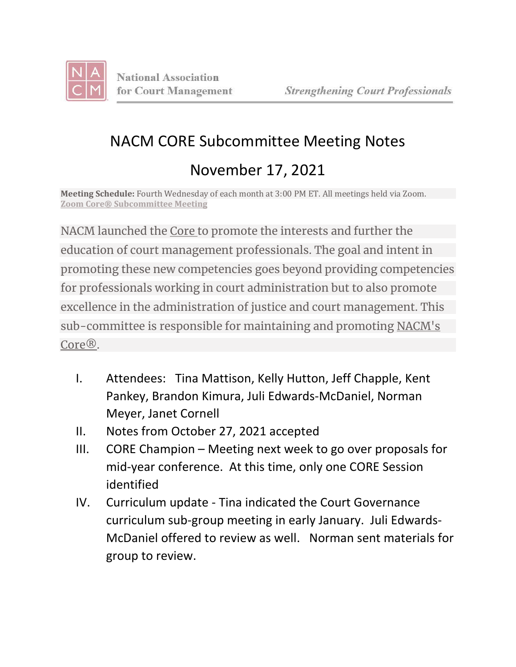

## NACM CORE Subcommittee Meeting Notes November 17, 2021

**Meeting Schedule:** Fourth Wednesday of each month at 3:00 PM ET. All meetings held via Zoom. **Zoom Core® [Subcommittee](https://zoom.us/j/95800030771?pwd=bXRIQnh5RlA1Q1FFS0YvTjhDN1FEZz09) Meeting**

NACM launched the [Core](https://nacmcore.org/) to promote the interests and further the education of court management professionals. The goal and intent in promoting these new competencies goes beyond providing competencies for professionals working in court administration but to also promote excellence in the administration of justice and court management. This sub-committee is responsible for maintaining and promoting [NACM's](https://nacmcore.org/) [Core®.](https://nacmcore.org/)

- I. Attendees: Tina Mattison, Kelly Hutton, Jeff Chapple, Kent Pankey, Brandon Kimura, Juli Edwards-McDaniel, Norman Meyer, Janet Cornell
- II. Notes from October 27, 2021 accepted
- III. CORE Champion Meeting next week to go over proposals for mid-year conference. At this time, only one CORE Session identified
- IV. Curriculum update Tina indicated the Court Governance curriculum sub-group meeting in early January. Juli Edwards-McDaniel offered to review as well. Norman sent materials for group to review.